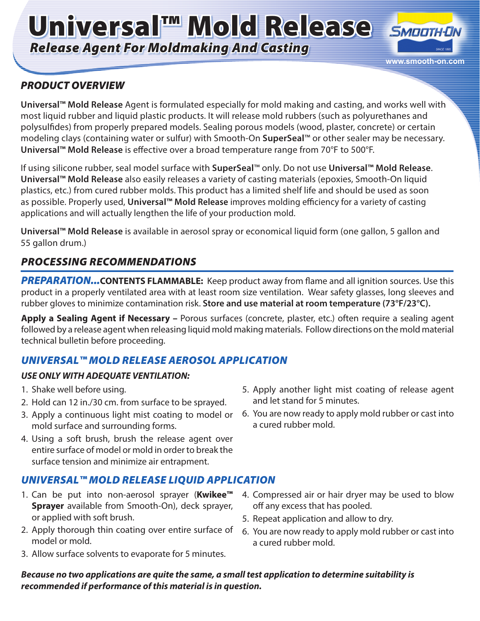# Universal™ Mold Release *Release Agent For Moldmaking And Casting*



## *PRODUCT OVERVIEW*

**Universal™ Mold Release** Agent is formulated especially for mold making and casting, and works well with most liquid rubber and liquid plastic products. It will release mold rubbers (such as polyurethanes and polysulfides) from properly prepared models. Sealing porous models (wood, plaster, concrete) or certain modeling clays (containing water or sulfur) with Smooth-On **SuperSeal**™ or other sealer may be necessary. **Universal™ Mold Release** is effective over a broad temperature range from 70°F to 500°F.

If using silicone rubber, seal model surface with **SuperSeal**™ only. Do not use **Universal™ Mold Release**. **Universal™ Mold Release** also easily releases a variety of casting materials (epoxies, Smooth-On liquid plastics, etc.) from cured rubber molds. This product has a limited shelf life and should be used as soon as possible. Properly used, **Universal™ Mold Release** improves molding efficiency for a variety of casting applications and will actually lengthen the life of your production mold.

**Universal™ Mold Release** is available in aerosol spray or economical liquid form (one gallon, 5 gallon and 55 gallon drum.)

# *PROCESSING RECOMMENDATIONS*

**PREPARATION...CONTENTS FLAMMABLE:** Keep product away from flame and all ignition sources. Use this product in a properly ventilated area with at least room size ventilation. Wear safety glasses, long sleeves and rubber gloves to minimize contamination risk. **Store and use material at room temperature (73°F/23°C).** 

**Apply a Sealing Agent if Necessary –** Porous surfaces (concrete, plaster, etc.) often require a sealing agent followed by a release agent when releasing liquid mold making materials. Follow directions on the mold material technical bulletin before proceeding.

# *UNIVERSAL™ MOLD RELEASE AEROSOL APPLICATION*

### *USE ONLY WITH ADEQUATE VENTILATION:*

- 1. Shake well before using.
- 2. Hold can 12 in./30 cm. from surface to be sprayed.
- 3. Apply a continuous light mist coating to model or mold surface and surrounding forms.
- 4. Using a soft brush, brush the release agent over entire surface of model or mold in order to break the surface tension and minimize air entrapment.

# *UNIVERSAL™ MOLD RELEASE LIQUID APPLICATION*

- 1. Can be put into non-aerosol sprayer (**Kwikee™ Sprayer** available from Smooth-On), deck sprayer, or applied with soft brush.
- 2. Apply thorough thin coating over entire surface of model or mold.
- 3. Allow surface solvents to evaporate for 5 minutes.
- 5. Apply another light mist coating of release agent and let stand for 5 minutes.
- 6. You are now ready to apply mold rubber or cast into a cured rubber mold.
- 4. Compressed air or hair dryer may be used to blow off any excess that has pooled.
- 5. Repeat application and allow to dry.
- 6. You are now ready to apply mold rubber or cast into a cured rubber mold.

*Because no two applications are quite the same, a small test application to determine suitability is recommended if performance of this material is in question.*